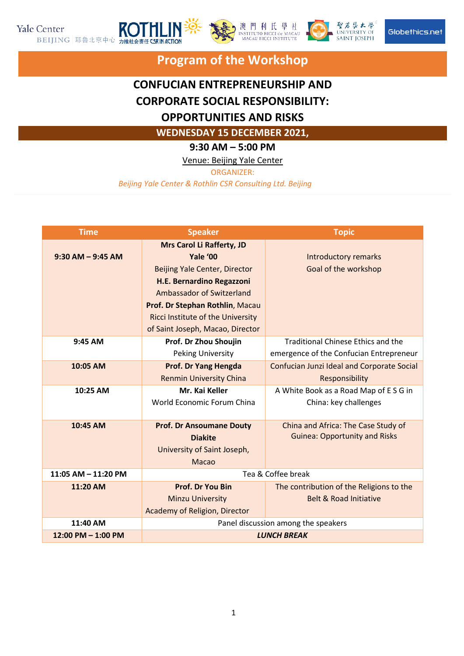





#### **Program of the Workshop**

### **CONFUCIAN ENTREPRENEURSHIP AND CORPORATE SOCIAL RESPONSIBILITY: OPPORTUNITIES AND RISKS**

**WEDNESDAY 15 DECEMBER 2021,** 

**9:30 AM – 5:00 PM**

Venue: Beijing Yale Center

ORGANIZER:

*Beijing Yale Center & Rothlin CSR Consulting Ltd. Beijing*

| <b>Time</b>            | <b>Speaker</b>                      | <b>Topic</b>                               |
|------------------------|-------------------------------------|--------------------------------------------|
|                        | <b>Mrs Carol Li Rafferty, JD</b>    |                                            |
| $9:30$ AM $-$ 9:45 AM  | Yale '00                            | Introductory remarks                       |
|                        | Beijing Yale Center, Director       | Goal of the workshop                       |
|                        | H.E. Bernardino Regazzoni           |                                            |
|                        | Ambassador of Switzerland           |                                            |
|                        | Prof. Dr Stephan Rothlin, Macau     |                                            |
|                        | Ricci Institute of the University   |                                            |
|                        | of Saint Joseph, Macao, Director    |                                            |
| 9:45 AM                | Prof. Dr Zhou Shoujin               | <b>Traditional Chinese Ethics and the</b>  |
|                        | <b>Peking University</b>            | emergence of the Confucian Entrepreneur    |
| 10:05 AM               | Prof. Dr Yang Hengda                | Confucian Junzi Ideal and Corporate Social |
|                        | <b>Renmin University China</b>      | Responsibility                             |
| 10:25 AM               | Mr. Kai Keller                      | A White Book as a Road Map of E S G in     |
|                        | World Economic Forum China          | China: key challenges                      |
|                        |                                     |                                            |
| 10:45 AM               | <b>Prof. Dr Ansoumane Douty</b>     | China and Africa: The Case Study of        |
|                        | <b>Diakite</b>                      | <b>Guinea: Opportunity and Risks</b>       |
|                        | University of Saint Joseph,         |                                            |
|                        | Macao                               |                                            |
| 11:05 AM - 11:20 PM    | Tea & Coffee break                  |                                            |
| 11:20 AM               | Prof. Dr You Bin                    | The contribution of the Religions to the   |
|                        | <b>Minzu University</b>             | <b>Belt &amp; Road Initiative</b>          |
|                        | Academy of Religion, Director       |                                            |
| 11:40 AM               | Panel discussion among the speakers |                                            |
| $12:00$ PM $- 1:00$ PM | <b>LUNCH BREAK</b>                  |                                            |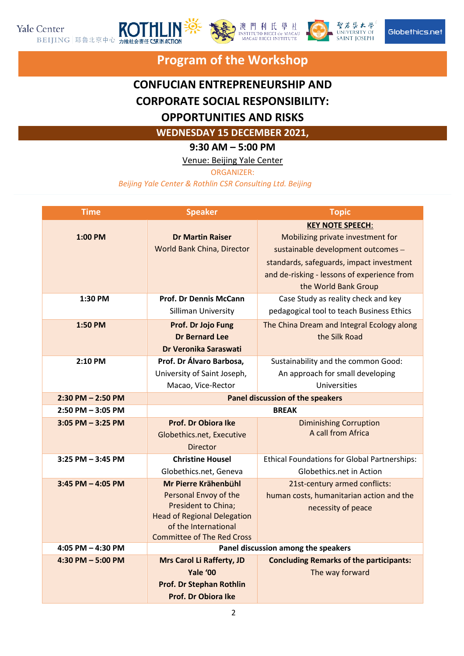

K





## **Program of the Workshop**

#### **CONFUCIAN ENTREPRENEURSHIP AND CORPORATE SOCIAL RESPONSIBILITY: OPPORTUNITIES AND RISKS**

**WEDNESDAY 15 DECEMBER 2021,** 

**9:30 AM – 5:00 PM**

Venue: Beijing Yale Center

ORGANIZER:

*Beijing Yale Center & Rothlin CSR Consulting Ltd. Beijing*

| <b>Time</b>           | <b>Speaker</b>                                            | <b>Topic</b>                                        |
|-----------------------|-----------------------------------------------------------|-----------------------------------------------------|
|                       |                                                           | <b>KEY NOTE SPEECH:</b>                             |
| 1:00 PM               | <b>Dr Martin Raiser</b>                                   | Mobilizing private investment for                   |
|                       | World Bank China, Director                                | sustainable development outcomes -                  |
|                       |                                                           | standards, safeguards, impact investment            |
|                       |                                                           | and de-risking - lessons of experience from         |
|                       |                                                           | the World Bank Group                                |
| 1:30 PM               | <b>Prof. Dr Dennis McCann</b>                             | Case Study as reality check and key                 |
|                       | Silliman University                                       | pedagogical tool to teach Business Ethics           |
| 1:50 PM               | Prof. Dr Jojo Fung                                        | The China Dream and Integral Ecology along          |
|                       | <b>Dr Bernard Lee</b>                                     | the Silk Road                                       |
|                       | Dr Veronika Saraswati                                     |                                                     |
| 2:10 PM               | Prof. Dr Álvaro Barbosa,                                  | Sustainability and the common Good:                 |
|                       | University of Saint Joseph,                               | An approach for small developing                    |
|                       | Macao, Vice-Rector                                        | Universities                                        |
| $2:30$ PM $- 2:50$ PM | Panel discussion of the speakers                          |                                                     |
| $2:50$ PM $-3:05$ PM  | <b>BREAK</b>                                              |                                                     |
| $3:05$ PM $-3:25$ PM  | <b>Prof. Dr Obiora Ike</b>                                | <b>Diminishing Corruption</b>                       |
|                       | Globethics.net, Executive                                 | A call from Africa                                  |
|                       | <b>Director</b>                                           |                                                     |
| $3:25$ PM $-3:45$ PM  | <b>Christine Housel</b>                                   | <b>Ethical Foundations for Global Partnerships:</b> |
|                       | Globethics.net, Geneva                                    | Globethics.net in Action                            |
| $3:45$ PM $-$ 4:05 PM | Mr Pierre Krähenbühl                                      | 21st-century armed conflicts:                       |
|                       | Personal Envoy of the                                     | human costs, humanitarian action and the            |
|                       | President to China;<br><b>Head of Regional Delegation</b> | necessity of peace                                  |
|                       | of the International                                      |                                                     |
|                       | <b>Committee of The Red Cross</b>                         |                                                     |
| 4:05 PM $-$ 4:30 PM   | Panel discussion among the speakers                       |                                                     |
| $4:30$ PM $-5:00$ PM  | <b>Mrs Carol Li Rafferty, JD</b>                          | <b>Concluding Remarks of the participants:</b>      |
|                       | Yale '00                                                  | The way forward                                     |
|                       | <b>Prof. Dr Stephan Rothlin</b>                           |                                                     |
|                       | <b>Prof. Dr Obiora Ike</b>                                |                                                     |